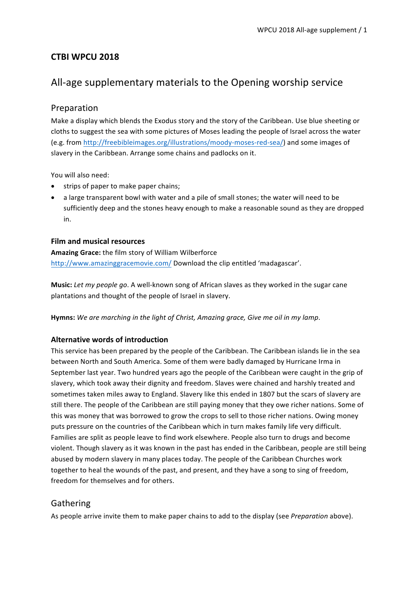# **CTBI WPCU 2018**

# All-age supplementary materials to the Opening worship service

## Preparation

Make a display which blends the Exodus story and the story of the Caribbean. Use blue sheeting or cloths to suggest the sea with some pictures of Moses leading the people of Israel across the water (e.g. from http://freebibleimages.org/illustrations/moody-moses-red-sea/) and some images of slavery in the Caribbean. Arrange some chains and padlocks on it.

You will also need:

- strips of paper to make paper chains;
- a large transparent bowl with water and a pile of small stones; the water will need to be sufficiently deep and the stones heavy enough to make a reasonable sound as they are dropped in.

### **Film and musical resources**

Amazing Grace: the film story of William Wilberforce http://www.amazinggracemovie.com/ Download the clip entitled 'madagascar'.

**Music:** Let my people go. A well-known song of African slaves as they worked in the sugar cane plantations and thought of the people of Israel in slavery.

**Hymns:** We are marching in the light of Christ, Amazing grace, Give me oil in my lamp.

## **Alternative words of introduction**

This service has been prepared by the people of the Caribbean. The Caribbean islands lie in the sea between North and South America. Some of them were badly damaged by Hurricane Irma in September last year. Two hundred years ago the people of the Caribbean were caught in the grip of slavery, which took away their dignity and freedom. Slaves were chained and harshly treated and sometimes taken miles away to England. Slavery like this ended in 1807 but the scars of slavery are still there. The people of the Caribbean are still paying money that they owe richer nations. Some of this was money that was borrowed to grow the crops to sell to those richer nations. Owing money puts pressure on the countries of the Caribbean which in turn makes family life very difficult. Families are split as people leave to find work elsewhere. People also turn to drugs and become violent. Though slavery as it was known in the past has ended in the Caribbean, people are still being abused by modern slavery in many places today. The people of the Caribbean Churches work together to heal the wounds of the past, and present, and they have a song to sing of freedom, freedom for themselves and for others.

# Gathering

As people arrive invite them to make paper chains to add to the display (see *Preparation* above).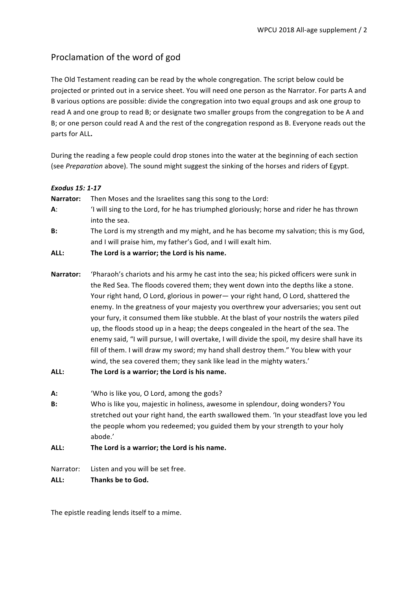# Proclamation of the word of god

The Old Testament reading can be read by the whole congregation. The script below could be projected or printed out in a service sheet. You will need one person as the Narrator. For parts A and B various options are possible: divide the congregation into two equal groups and ask one group to read A and one group to read B; or designate two smaller groups from the congregation to be A and B; or one person could read A and the rest of the congregation respond as B. Everyone reads out the parts for ALL.

During the reading a few people could drop stones into the water at the beginning of each section (see *Preparation* above). The sound might suggest the sinking of the horses and riders of Egypt.

| <b>Exodus 15: 1-17</b> |                                                                                                                                                                                                                                                                                                                                                             |
|------------------------|-------------------------------------------------------------------------------------------------------------------------------------------------------------------------------------------------------------------------------------------------------------------------------------------------------------------------------------------------------------|
| Narrator:              | Then Moses and the Israelites sang this song to the Lord:                                                                                                                                                                                                                                                                                                   |
| $A$ :                  | I will sing to the Lord, for he has triumphed gloriously; horse and rider he has thrown<br>into the sea.                                                                                                                                                                                                                                                    |
| <b>B:</b>              | The Lord is my strength and my might, and he has become my salvation; this is my God,<br>and I will praise him, my father's God, and I will exalt him.                                                                                                                                                                                                      |
| ALL:                   | The Lord is a warrior; the Lord is his name.                                                                                                                                                                                                                                                                                                                |
| Narrator:              | 'Pharaoh's chariots and his army he cast into the sea; his picked officers were sunk in<br>the Red Sea. The floods covered them; they went down into the depths like a stone.<br>Your right hand, O Lord, glorious in power - your right hand, O Lord, shattered the<br>enemy In the greatness of vour majesty you overthrow your adversaries; you sent out |

enemy. In the greatness of your majesty you overthrew your adversaries; you sent out your fury, it consumed them like stubble. At the blast of your nostrils the waters piled up, the floods stood up in a heap; the deeps congealed in the heart of the sea. The enemy said, "I will pursue, I will overtake, I will divide the spoil, my desire shall have its fill of them. I will draw my sword; my hand shall destroy them." You blew with your wind, the sea covered them; they sank like lead in the mighty waters.'

- ALL: The Lord is a warrior; the Lord is his name.
- **A:** 'Who is like you, O Lord, among the gods?
- **B:** Who is like you, majestic in holiness, awesome in splendour, doing wonders? You stretched out your right hand, the earth swallowed them. 'In your steadfast love you led the people whom you redeemed; you guided them by your strength to your holy abode.'

## ALL: The Lord is a warrior; the Lord is his name.

Narrator: Listen and you will be set free.

ALL: Thanks be to God.

The epistle reading lends itself to a mime.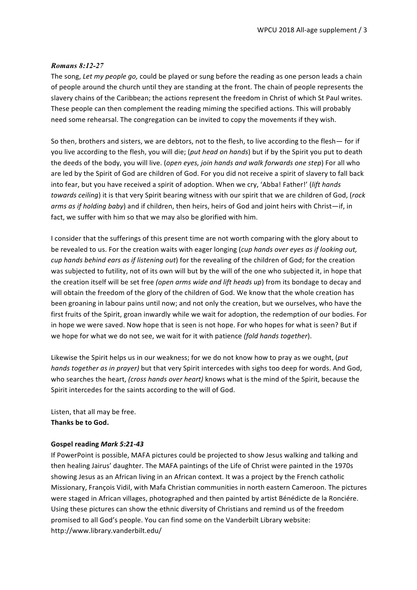### *Romans 8:12-27*

The song, Let my people go, could be played or sung before the reading as one person leads a chain of people around the church until they are standing at the front. The chain of people represents the slavery chains of the Caribbean; the actions represent the freedom in Christ of which St Paul writes. These people can then complement the reading miming the specified actions. This will probably need some rehearsal. The congregation can be invited to copy the movements if they wish.

So then, brothers and sisters, we are debtors, not to the flesh, to live according to the flesh— for if you live according to the flesh, you will die; (put head on hands) but if by the Spirit you put to death the deeds of the body, you will live. (*open eyes, join hands and walk forwards one step*) For all who are led by the Spirit of God are children of God. For you did not receive a spirit of slavery to fall back into fear, but you have received a spirit of adoption. When we cry, 'Abba! Father!' (*lift hands towards ceiling*) it is that very Spirit bearing witness with our spirit that we are children of God, (rock *arms* as if holding baby) and if children, then heirs, heirs of God and joint heirs with Christ—if, in fact, we suffer with him so that we may also be glorified with him.

I consider that the sufferings of this present time are not worth comparing with the glory about to be revealed to us. For the creation waits with eager longing (*cup hands over eyes as if looking out*, *cup* hands behind ears as if listening out) for the revealing of the children of God; for the creation was subjected to futility, not of its own will but by the will of the one who subjected it, in hope that the creation itself will be set free (open arms wide and lift heads up) from its bondage to decay and will obtain the freedom of the glory of the children of God. We know that the whole creation has been groaning in labour pains until now; and not only the creation, but we ourselves, who have the first fruits of the Spirit, groan inwardly while we wait for adoption, the redemption of our bodies. For in hope we were saved. Now hope that is seen is not hope. For who hopes for what is seen? But if we hope for what we do not see, we wait for it with patience (fold hands together).

Likewise the Spirit helps us in our weakness; for we do not know how to pray as we ought, (*put hands together as in prayer)* but that very Spirit intercedes with sighs too deep for words. And God, who searches the heart, (cross hands over heart) knows what is the mind of the Spirit, because the Spirit intercedes for the saints according to the will of God.

Listen, that all may be free. **Thanks be to God.** 

#### **Gospel reading** *Mark 5:21-43*

If PowerPoint is possible, MAFA pictures could be projected to show Jesus walking and talking and then healing Jairus' daughter. The MAFA paintings of the Life of Christ were painted in the 1970s showing Jesus as an African living in an African context. It was a project by the French catholic Missionary, François Vidil, with Mafa Christian communities in north eastern Cameroon. The pictures were staged in African villages, photographed and then painted by artist Bénédicte de la Ronciére. Using these pictures can show the ethnic diversity of Christians and remind us of the freedom promised to all God's people. You can find some on the Vanderbilt Library website: http://www.library.vanderbilt.edu/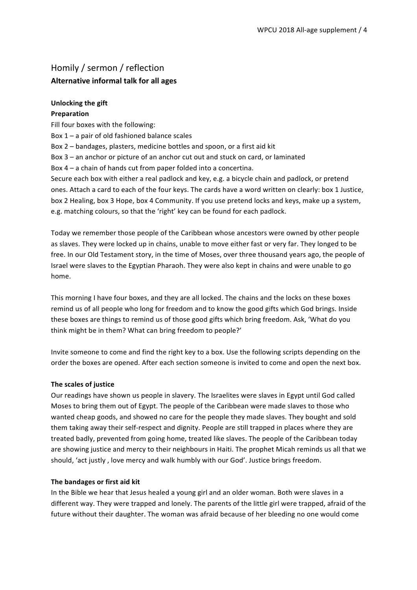# Homily / sermon / reflection **Alternative informal talk for all ages**

### **Unlocking the gift**

#### **Preparation**

Fill four boxes with the following:

Box  $1 - a$  pair of old fashioned balance scales

- Box 2 bandages, plasters, medicine bottles and spoon, or a first aid kit
- Box 3 an anchor or picture of an anchor cut out and stuck on card, or laminated

Box  $4 - a$  chain of hands cut from paper folded into a concertina.

Secure each box with either a real padlock and key, e.g. a bicycle chain and padlock, or pretend ones. Attach a card to each of the four keys. The cards have a word written on clearly: box 1 Justice, box 2 Healing, box 3 Hope, box 4 Community. If you use pretend locks and keys, make up a system, e.g. matching colours, so that the 'right' key can be found for each padlock.

Today we remember those people of the Caribbean whose ancestors were owned by other people as slaves. They were locked up in chains, unable to move either fast or very far. They longed to be free. In our Old Testament story, in the time of Moses, over three thousand years ago, the people of Israel were slaves to the Egyptian Pharaoh. They were also kept in chains and were unable to go home.

This morning I have four boxes, and they are all locked. The chains and the locks on these boxes remind us of all people who long for freedom and to know the good gifts which God brings. Inside these boxes are things to remind us of those good gifts which bring freedom. Ask, 'What do you think might be in them? What can bring freedom to people?'

Invite someone to come and find the right key to a box. Use the following scripts depending on the order the boxes are opened. After each section someone is invited to come and open the next box.

### **The scales of justice**

Our readings have shown us people in slavery. The Israelites were slaves in Egypt until God called Moses to bring them out of Egypt. The people of the Caribbean were made slaves to those who wanted cheap goods, and showed no care for the people they made slaves. They bought and sold them taking away their self-respect and dignity. People are still trapped in places where they are treated badly, prevented from going home, treated like slaves. The people of the Caribbean today are showing justice and mercy to their neighbours in Haiti. The prophet Micah reminds us all that we should, 'act justly, love mercy and walk humbly with our God'. Justice brings freedom.

### **The bandages or first aid kit**

In the Bible we hear that Jesus healed a young girl and an older woman. Both were slaves in a different way. They were trapped and lonely. The parents of the little girl were trapped, afraid of the future without their daughter. The woman was afraid because of her bleeding no one would come